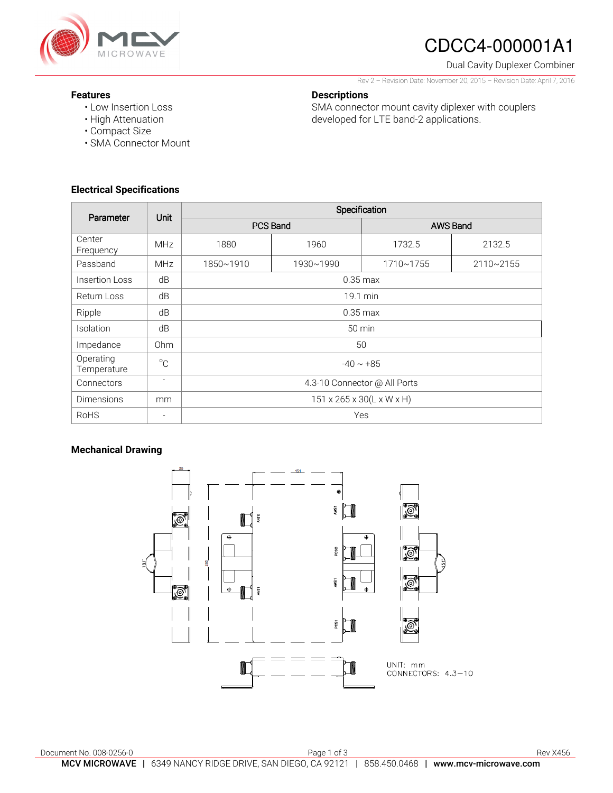

# CDCC4-000001A1

Dual Cavity Duplexer Combiner

Rev 2 – Revision Date: November 20, 2015 – Revision Date: April 7, 2016

SMA connector mount cavity diplexer with couplers

developed for LTE band-2 applications.

### **Features**

- Low Insertion Loss
- High Attenuation
- Compact Size
- SMA Connector Mount

### **Electrical Specifications**

| Parameter                | <b>Unit</b>              | Specification                                   |           |                 |           |
|--------------------------|--------------------------|-------------------------------------------------|-----------|-----------------|-----------|
|                          |                          | PCS Band                                        |           | <b>AWS Band</b> |           |
| Center<br>Frequency      | <b>MHz</b>               | 1880                                            | 1960      | 1732.5          | 2132.5    |
| Passband                 | <b>MHz</b>               | 1850~1910                                       | 1930~1990 | 1710~1755       | 2110~2155 |
| Insertion Loss           | dB                       | $0.35 \text{ max}$                              |           |                 |           |
| Return Loss              | dB                       | 19.1 min                                        |           |                 |           |
| Ripple                   | dB                       | $0.35$ max                                      |           |                 |           |
| <b>Isolation</b>         | dB                       | $50 \text{ min}$                                |           |                 |           |
| Impedance                | Ohm                      | 50                                              |           |                 |           |
| Operating<br>Temperature | $^{\circ}$ C             | $-40 \sim +85$                                  |           |                 |           |
| Connectors               | $\overline{\phantom{a}}$ | 4.3-10 Connector @ All Ports                    |           |                 |           |
| <b>Dimensions</b>        | mm                       | $151 \times 265 \times 30(L \times W \times H)$ |           |                 |           |
| <b>RoHS</b>              | $\overline{\phantom{a}}$ | Yes                                             |           |                 |           |

**Descriptions** 

### **Mechanical Drawing**

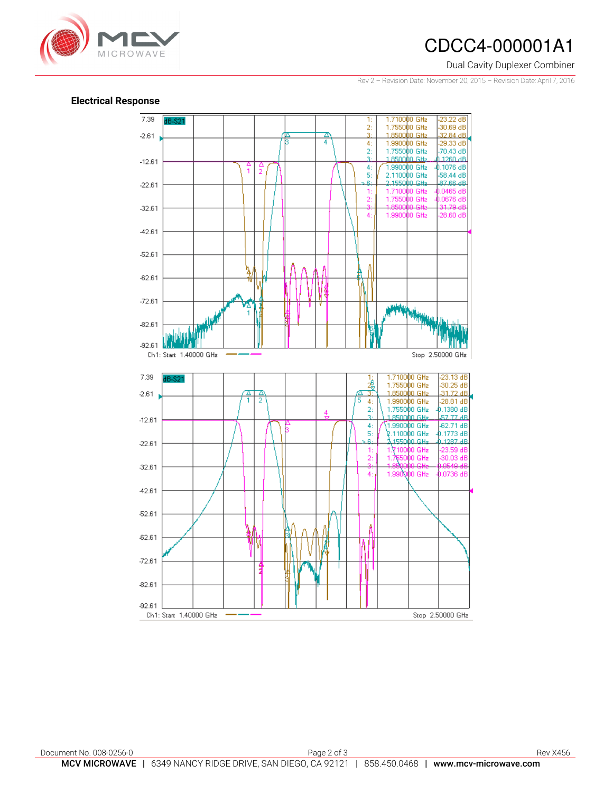## CDCC4-000001A1

#### Dual Cavity Duplexer Combiner

Rev 2 – Revision Date: November 20, 2015 – Revision Date: April 7, 2016



#### **Electrical Response**